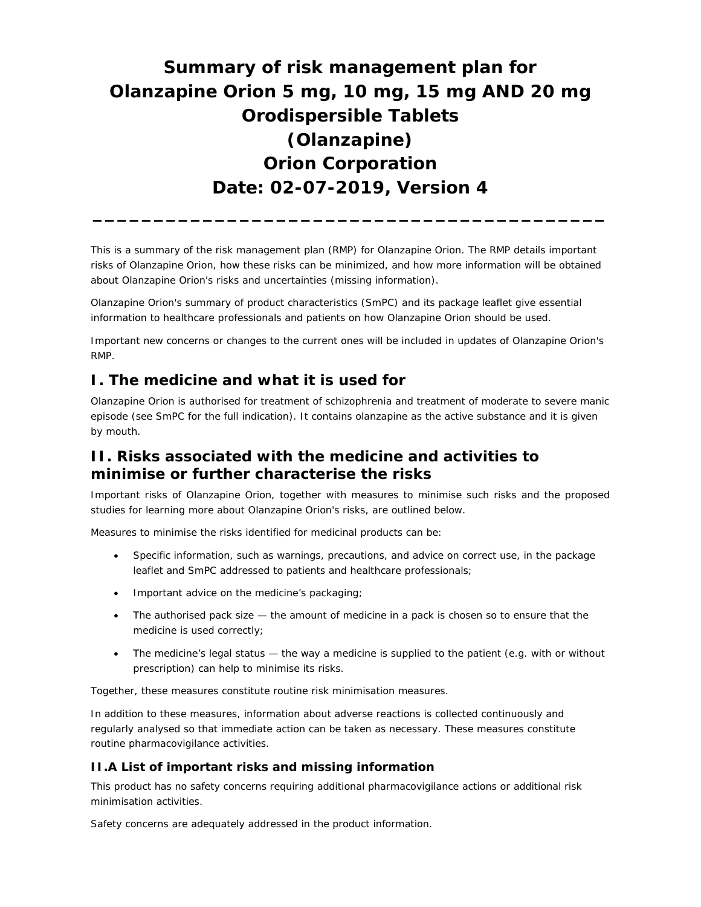# **Summary of risk management plan for Olanzapine Orion 5 mg, 10 mg, 15 mg AND 20 mg Orodispersible Tablets (Olanzapine) Orion Corporation Date: 02-07-2019, Version 4**

This is a summary of the risk management plan (RMP) for Olanzapine Orion. The RMP details important risks of Olanzapine Orion, how these risks can be minimized, and how more information will be obtained about Olanzapine Orion's risks and uncertainties (missing information).

**\_\_\_\_\_\_\_\_\_\_\_\_\_\_\_\_\_\_\_\_\_\_\_\_\_\_\_\_\_\_\_\_\_\_\_\_\_\_\_\_\_\_** 

Olanzapine Orion's summary of product characteristics (SmPC) and its package leaflet give essential information to healthcare professionals and patients on how Olanzapine Orion should be used.

Important new concerns or changes to the current ones will be included in updates of Olanzapine Orion's RMP.

# **I. The medicine and what it is used for**

Olanzapine Orion is authorised for treatment of schizophrenia and treatment of moderate to severe manic episode (see SmPC for the full indication). It contains olanzapine as the active substance and it is given by mouth.

# **II. Risks associated with the medicine and activities to minimise or further characterise the risks**

Important risks of Olanzapine Orion, together with measures to minimise such risks and the proposed studies for learning more about Olanzapine Orion's risks, are outlined below.

Measures to minimise the risks identified for medicinal products can be:

- Specific information, such as warnings, precautions, and advice on correct use, in the package leaflet and SmPC addressed to patients and healthcare professionals;
- Important advice on the medicine's packaging;
- The authorised pack size the amount of medicine in a pack is chosen so to ensure that the medicine is used correctly;
- The medicine's legal status the way a medicine is supplied to the patient (e.g. with or without prescription) can help to minimise its risks.

Together, these measures constitute routine risk minimisation measures.

In addition to these measures, information about adverse reactions is collected continuously and regularly analysed so that immediate action can be taken as necessary. These measures constitute *routine pharmacovigilance activities*.

#### **II.A List of important risks and missing information**

This product has no safety concerns requiring additional pharmacovigilance actions or additional risk minimisation activities.

Safety concerns are adequately addressed in the product information.